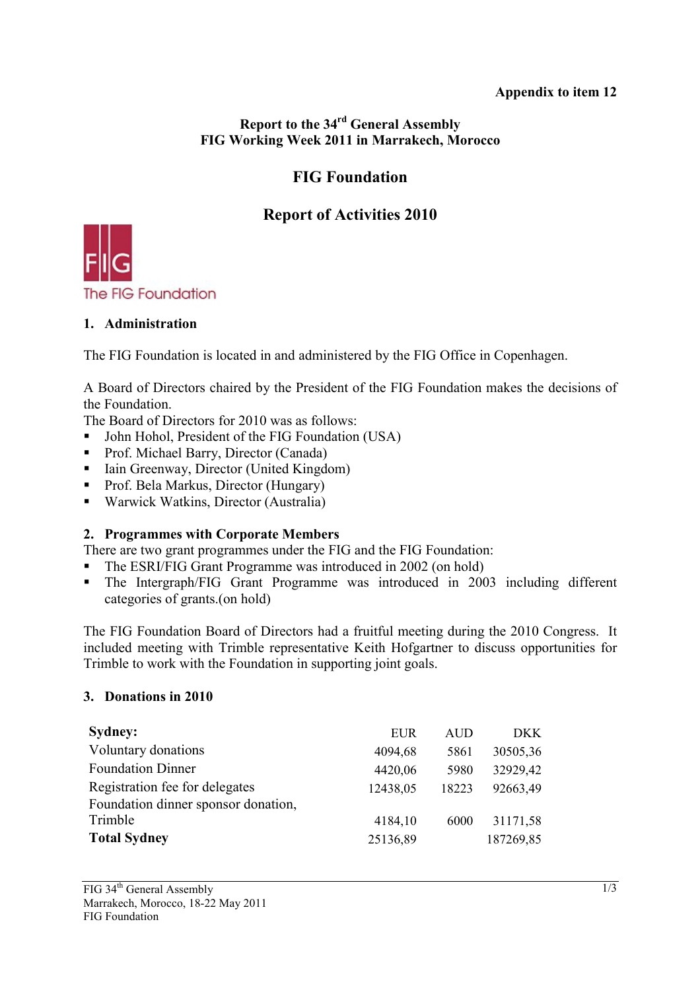## **Appendix to item 12**

## **Report to the 34rd General Assembly FIG Working Week 2011 in Marrakech, Morocco**

## **FIG Foundation**

## **Report of Activities 2010**



## **1. Administration**

The FIG Foundation is located in and administered by the FIG Office in Copenhagen.

A Board of Directors chaired by the President of the FIG Foundation makes the decisions of the Foundation.

The Board of Directors for 2010 was as follows:

- John Hohol, President of the FIG Foundation (USA)
- Prof. Michael Barry, Director (Canada)
- Iain Greenway, Director (United Kingdom)
- **Prof. Bela Markus, Director (Hungary)**
- Warwick Watkins, Director (Australia)

## **2. Programmes with Corporate Members**

There are two grant programmes under the FIG and the FIG Foundation:

- The ESRI/FIG Grant Programme was introduced in 2002 (on hold)
- The Intergraph/FIG Grant Programme was introduced in 2003 including different categories of grants.(on hold)

The FIG Foundation Board of Directors had a fruitful meeting during the 2010 Congress. It included meeting with Trimble representative Keith Hofgartner to discuss opportunities for Trimble to work with the Foundation in supporting joint goals.

### **3. Donations in 2010**

| <b>Sydney:</b>                      | EUR      | <b>AUD</b> | DKK.      |
|-------------------------------------|----------|------------|-----------|
| Voluntary donations                 | 4094,68  | 5861       | 30505,36  |
| <b>Foundation Dinner</b>            | 4420,06  | 5980       | 32929,42  |
| Registration fee for delegates      | 12438,05 | 18223      | 92663,49  |
| Foundation dinner sponsor donation, |          |            |           |
| Trimble                             | 4184,10  | 6000       | 31171,58  |
| <b>Total Sydney</b>                 | 25136,89 |            | 187269,85 |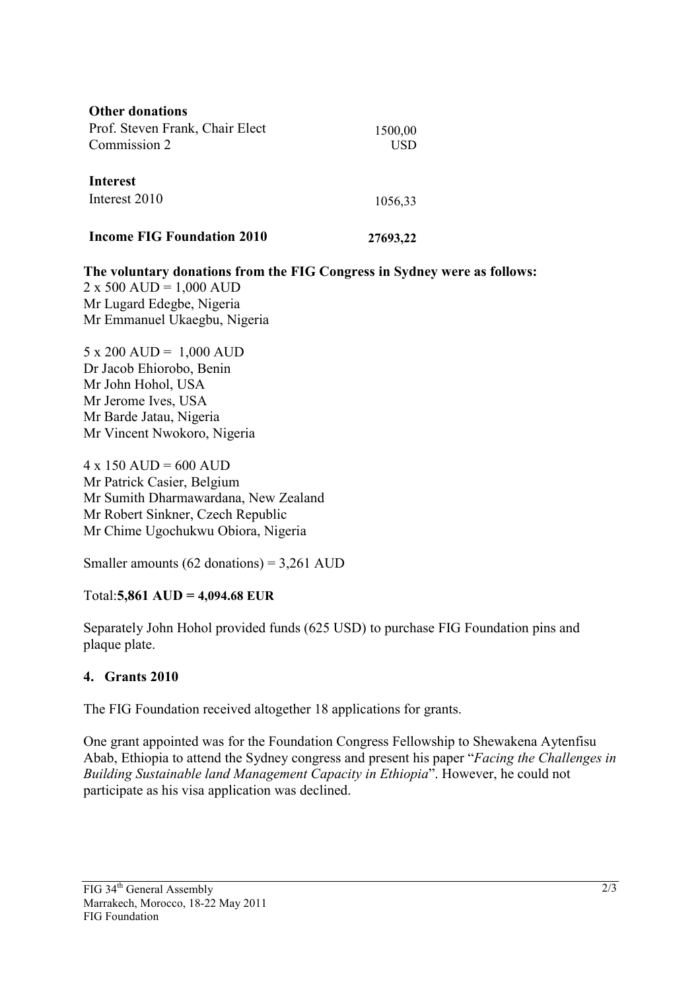| <b>Other donations</b>            |          |
|-----------------------------------|----------|
| Prof. Steven Frank, Chair Elect   | 1500,00  |
| Commission 2                      | USD      |
| <b>Interest</b>                   |          |
| Interest 2010                     | 1056,33  |
| <b>Income FIG Foundation 2010</b> | 27693,22 |

**The voluntary donations from the FIG Congress in Sydney were as follows:**   $2 \times 500$  AUD = 1,000 AUD Mr Lugard Edegbe, Nigeria Mr Emmanuel Ukaegbu, Nigeria

5 x 200 AUD = 1,000 AUD Dr Jacob Ehiorobo, Benin Mr John Hohol, USA Mr Jerome Ives, USA Mr Barde Jatau, Nigeria Mr Vincent Nwokoro, Nigeria

 $4 \times 150$  AUD = 600 AUD Mr Patrick Casier, Belgium Mr Sumith Dharmawardana, New Zealand Mr Robert Sinkner, Czech Republic Mr Chime Ugochukwu Obiora, Nigeria

Smaller amounts  $(62$  donations) = 3,261 AUD

## Total:**5,861 AUD = 4,094.68 EUR**

Separately John Hohol provided funds (625 USD) to purchase FIG Foundation pins and plaque plate.

## **4. Grants 2010**

The FIG Foundation received altogether 18 applications for grants.

One grant appointed was for the Foundation Congress Fellowship to Shewakena Aytenfisu Abab, Ethiopia to attend the Sydney congress and present his paper "*Facing the Challenges in Building Sustainable land Management Capacity in Ethiopia*". However, he could not participate as his visa application was declined.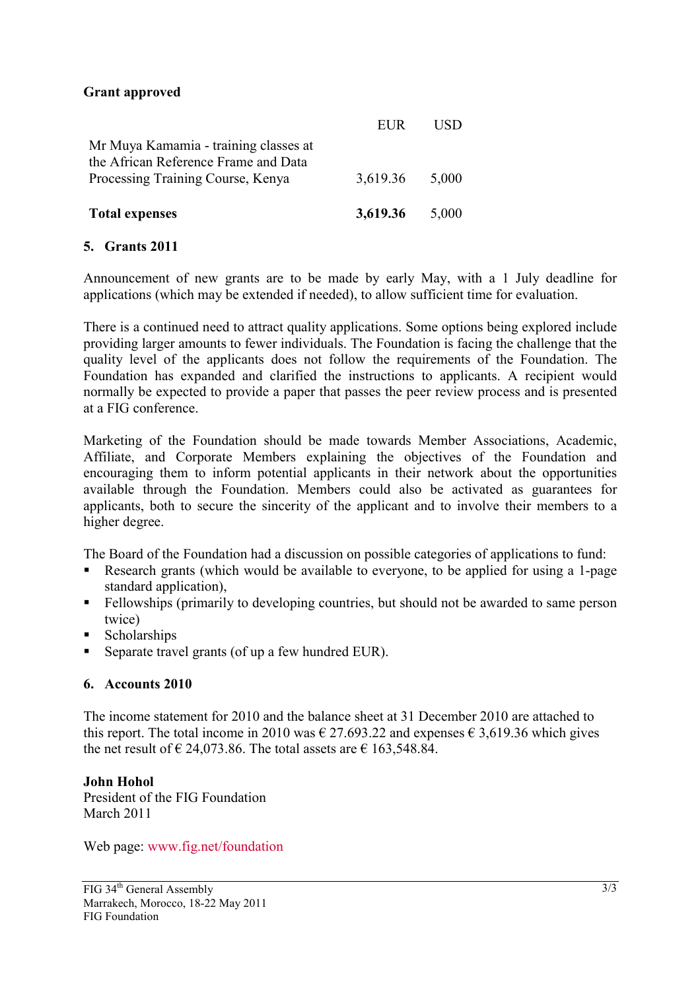### **Grant approved**

| <b>Total expenses</b>                                                                                              | 3,619.36 | 5,000       |
|--------------------------------------------------------------------------------------------------------------------|----------|-------------|
| Mr Muya Kamamia - training classes at<br>the African Reference Frame and Data<br>Processing Training Course, Kenya | 3,619.36 | 5,000       |
|                                                                                                                    | EI IR    | <b>FISD</b> |

## **5. Grants 2011**

Announcement of new grants are to be made by early May, with a 1 July deadline for applications (which may be extended if needed), to allow sufficient time for evaluation.

There is a continued need to attract quality applications. Some options being explored include providing larger amounts to fewer individuals. The Foundation is facing the challenge that the quality level of the applicants does not follow the requirements of the Foundation. The Foundation has expanded and clarified the instructions to applicants. A recipient would normally be expected to provide a paper that passes the peer review process and is presented at a FIG conference.

Marketing of the Foundation should be made towards Member Associations, Academic, Affiliate, and Corporate Members explaining the objectives of the Foundation and encouraging them to inform potential applicants in their network about the opportunities available through the Foundation. Members could also be activated as guarantees for applicants, both to secure the sincerity of the applicant and to involve their members to a higher degree.

The Board of the Foundation had a discussion on possible categories of applications to fund:

- Research grants (which would be available to everyone, to be applied for using a 1-page standard application).
- Fellowships (primarily to developing countries, but should not be awarded to same person twice)
- Scholarships
- Separate travel grants (of up a few hundred EUR).

## **6. Accounts 2010**

The income statement for 2010 and the balance sheet at 31 December 2010 are attached to this report. The total income in 2010 was  $\in$  27.693.22 and expenses  $\in$  3.619.36 which gives the net result of  $\epsilon$  24,073.86. The total assets are  $\epsilon$  163,548.84.

### **John Hohol**

President of the FIG Foundation March 2011

Web page: www.fig.net/foundation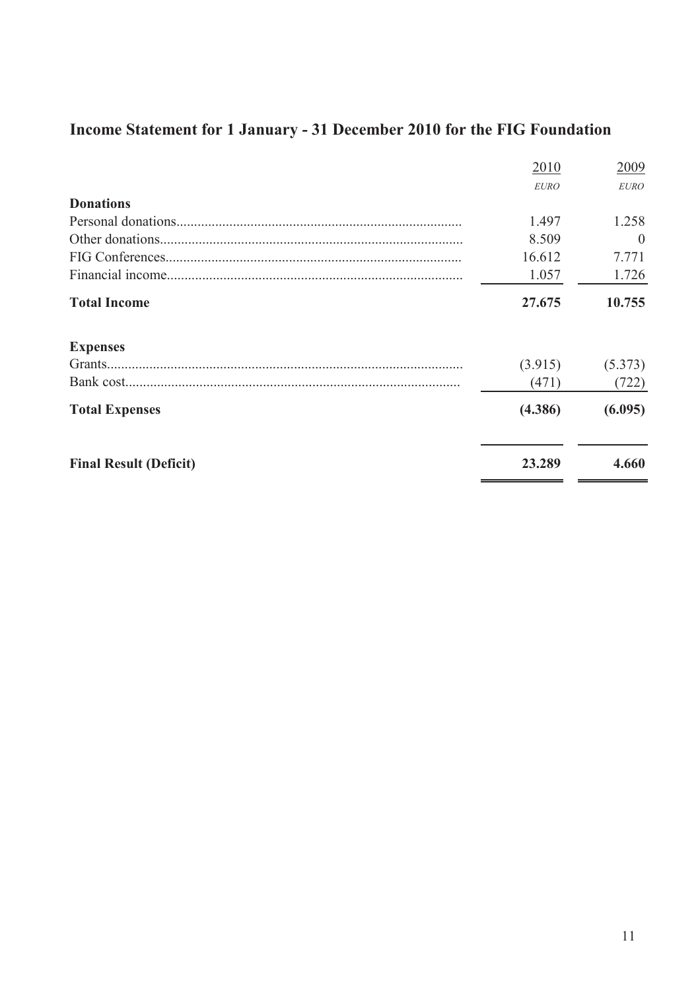# **Income Statement for 1 January - 31 December 2010 for the FIG Foundation**

| 2010                                    | 2009     |
|-----------------------------------------|----------|
| <b>EURO</b>                             | EURO     |
| <b>Donations</b>                        |          |
| 1.497                                   | 1.258    |
| 8.509                                   | $\theta$ |
| 16.612                                  | 7.771    |
| 1.057                                   | 1.726    |
| <b>Total Income</b><br>27.675           | 10.755   |
| <b>Expenses</b>                         |          |
| (3.915)                                 | (5.373)  |
| Bank cost<br>(471)                      | (722)    |
| (4.386)<br><b>Total Expenses</b>        | (6.095)  |
| <b>Final Result (Deficit)</b><br>23.289 | 4.660    |
|                                         |          |